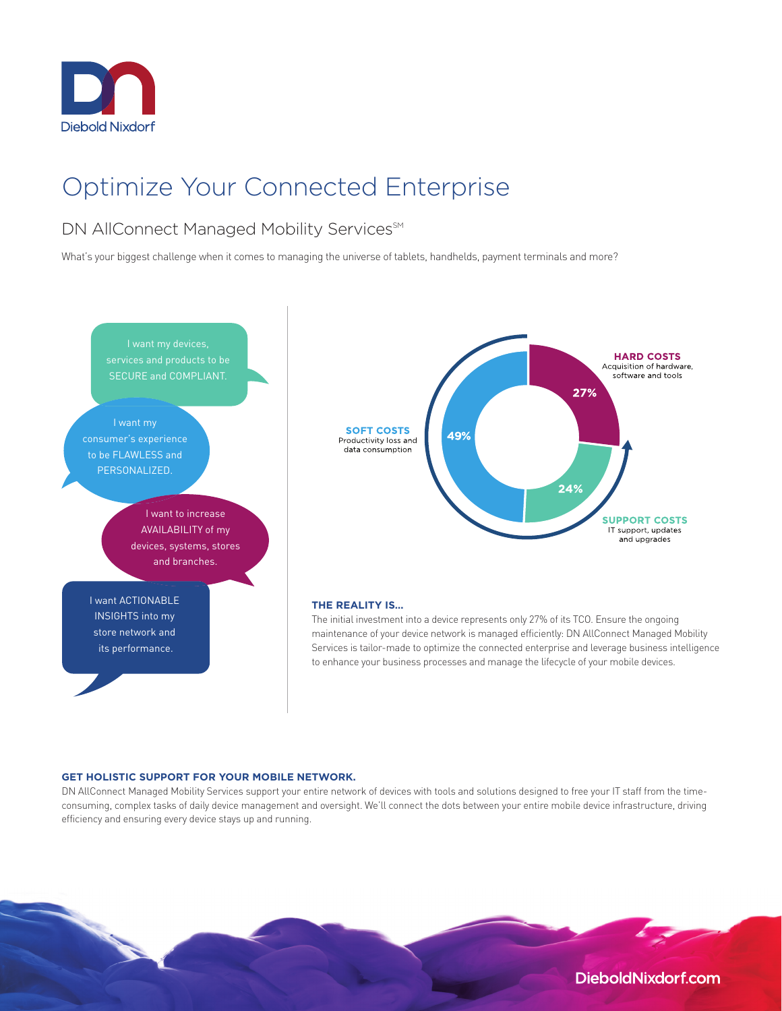

# Optimize Your Connected Enterprise

## DN AllConnect Managed Mobility Services<sup>SM</sup>

What's your biggest challenge when it comes to managing the universe of tablets, handhelds, payment terminals and more?



#### **GET HOLISTIC SUPPORT FOR YOUR MOBILE NETWORK.**

DN AllConnect Managed Mobility Services support your entire network of devices with tools and solutions designed to free your IT staff from the timeconsuming, complex tasks of daily device management and oversight. We'll connect the dots between your entire mobile device infrastructure, driving efficiency and ensuring every device stays up and running.